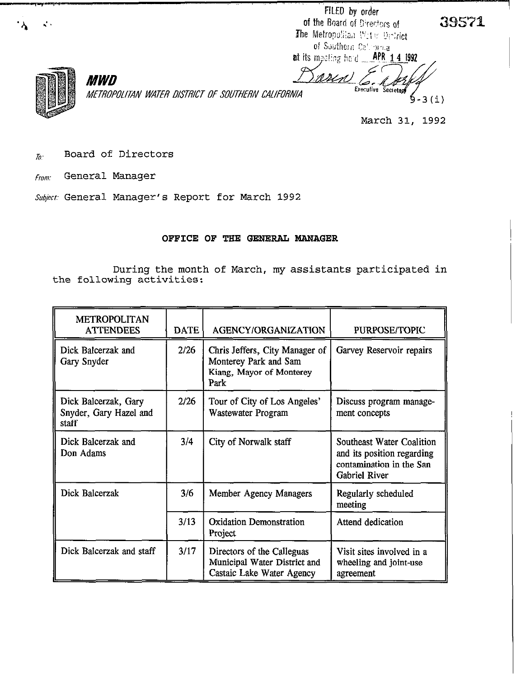FILED by order of the Board of Directors of The Metropolitan With Delrict of Southern Cationnia. at its meeting held **APR 14 1992** 

مصا

ssin



ρ,

**MWD** *ME?R?tWITAN WATER DISTRICT OF SUUJHERiV CAIIFDRNIA* 

Executive Secretar 5-3(i)

39571

March 31, 1992

- $T_{\overline{0}}$  Board of Directors
- *From:* General Manager

*Subject-* General Manager's Report for March 1992

## OFFICE OF THE GENERAL MANAGER

During the month of March, my assistants participated in the following activities:

| <b>METROPOLITAN</b><br><b>ATTENDEES</b>                 | <b>DATE</b> | <b>AGENCY/ORGANIZATION</b>                                                                  | PURPOSE/TOPIC                                                                                               |
|---------------------------------------------------------|-------------|---------------------------------------------------------------------------------------------|-------------------------------------------------------------------------------------------------------------|
| Dick Balcerzak and<br>Gary Snyder                       | 2/26        | Chris Jeffers, City Manager of<br>Monterey Park and Sam<br>Kiang, Mayor of Monterey<br>Park | Garvey Reservoir repairs                                                                                    |
| Dick Balcerzak, Gary<br>Snyder, Gary Hazel and<br>staff | 2/26        | Tour of City of Los Angeles'<br>Wastewater Program                                          | Discuss program manage-<br>ment concepts                                                                    |
| Dick Balcerzak and<br>Don Adams                         | 3/4         | City of Norwalk staff                                                                       | Southeast Water Coalition<br>and its position regarding<br>contamination in the San<br><b>Gabriel River</b> |
| Dick Balcerzak                                          | 3/6         | Member Agency Managers                                                                      | Regularly scheduled<br>meeting                                                                              |
|                                                         | 3/13        | <b>Oxidation Demonstration</b><br>Project                                                   | Attend dedication                                                                                           |
| Dick Balcerzak and staff                                | 3/17        | Directors of the Calleguas<br>Municipal Water District and<br>Castaic Lake Water Agency     | Visit sites involved in a<br>wheeling and joint-use<br>agreement                                            |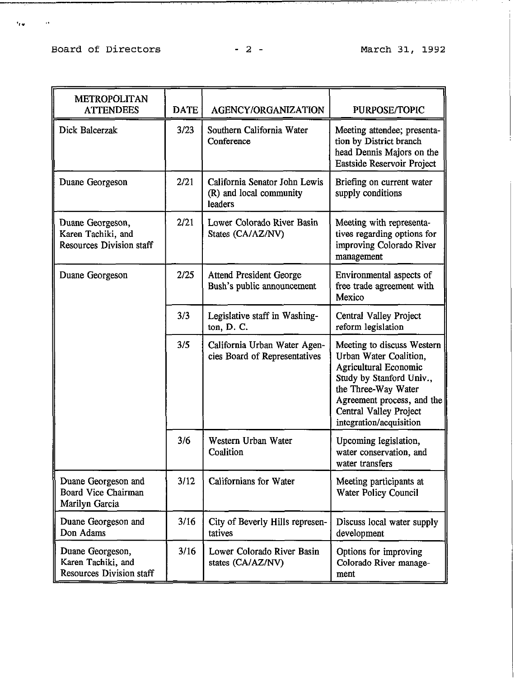## Board of Directors - 2 - March 31, 1992

 $\epsilon_{\rm EW}$ 

 $\sim 10^{11}$  keV

<del>. . . . . . . . . . . .</del> .

| <b>METROPOLITAN</b><br><b>ATTENDEES</b>                                   | <b>DATE</b> | AGENCY/ORGANIZATION                                                 | PURPOSE/TOPIC                                                                                                                                                                                                              |
|---------------------------------------------------------------------------|-------------|---------------------------------------------------------------------|----------------------------------------------------------------------------------------------------------------------------------------------------------------------------------------------------------------------------|
| Dick Balcerzak                                                            | 3/23        | Southern California Water<br>Conference                             | Meeting attendee; presenta-<br>tion by District branch<br>head Dennis Majors on the<br>Eastside Reservoir Project                                                                                                          |
| Duane Georgeson                                                           | 2/21        | California Senator John Lewis<br>(R) and local community<br>leaders | Briefing on current water<br>supply conditions                                                                                                                                                                             |
| Duane Georgeson,<br>Karen Tachiki, and<br><b>Resources Division staff</b> | 2/21        | Lower Colorado River Basin<br>States (CA/AZ/NV)                     | Meeting with representa-<br>tives regarding options for<br>improving Colorado River<br>management                                                                                                                          |
| Duane Georgeson                                                           | 2/25        | <b>Attend President George</b><br>Bush's public announcement        | Environmental aspects of<br>free trade agreement with<br>Mexico                                                                                                                                                            |
|                                                                           | 3/3         | Legislative staff in Washing-<br>ton, D. C.                         | Central Valley Project<br>reform legislation                                                                                                                                                                               |
|                                                                           | 3/5         | California Urban Water Agen-<br>cies Board of Representatives       | Meeting to discuss Western<br>Urban Water Coalition,<br><b>Agricultural Economic</b><br>Study by Stanford Univ.,<br>the Three-Way Water<br>Agreement process, and the<br>Central Valley Project<br>integration/acquisition |
|                                                                           | 3/6         | Western Urban Water<br>Coalition                                    | Upcoming legislation,<br>water conservation, and<br>water transfers                                                                                                                                                        |
| Duane Georgeson and<br>Board Vice Chairman<br>Marilyn Garcia              | 3/12        | <b>Californians for Water</b>                                       | Meeting participants at<br>Water Policy Council                                                                                                                                                                            |
| Duane Georgeson and<br>Don Adams                                          | 3/16        | City of Beverly Hills represen-<br>tatives                          | Discuss local water supply<br>development                                                                                                                                                                                  |
| Duane Georgeson,<br>Karen Tachiki, and<br><b>Resources Division staff</b> | 3/16        | Lower Colorado River Basin<br>states (CA/AZ/NV)                     | Options for improving<br>Colorado River manage-<br>ment                                                                                                                                                                    |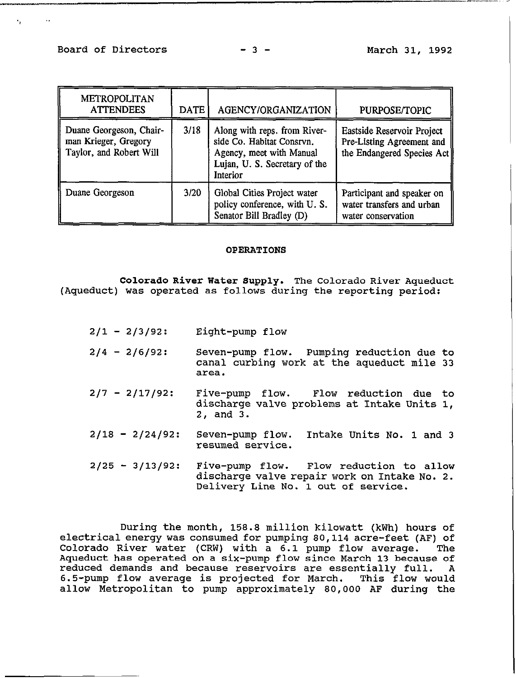| <b>METROPOLITAN</b><br><b>ATTENDEES</b>                                    | <b>DATE</b> | AGENCY/ORGANIZATION                                                                                                                | PURPOSE/TOPIC                                                                         |
|----------------------------------------------------------------------------|-------------|------------------------------------------------------------------------------------------------------------------------------------|---------------------------------------------------------------------------------------|
| Duane Georgeson, Chair-<br>man Krieger, Gregory<br>Taylor, and Robert Will | 3/18        | Along with reps. from River-<br>side Co. Habitat Consrvn.<br>Agency, meet with Manual<br>Lujan, U. S. Secretary of the<br>Interior | Eastside Reservoir Project<br>Pre-Listing Agreement and<br>the Endangered Species Act |
| Duane Georgeson                                                            | 3/20        | Global Cities Project water<br>policy conference, with U.S.<br>Senator Bill Bradley (D)                                            | Participant and speaker on<br>water transfers and urban<br>water conservation         |

### OPERATIONS

Colorado River Water Supply. The Colorado River Aqueduct (Aqueduct) was operated as follows during the reporting period:

- $2/1 2/3/92$ : Eight-pump flow
- $2/4 2/6/92$ : Seven-pump flow. Pumping reduction due to canal curbing work at the aqueduct mile 33 area.
- $2/7 2/17/92$ : Five-pump flow. Flow reduction due to discharge valve problems at Intake Units I, 2, and 3.
- $2/18 2/24/92$ : Seven-pump flow. Intake Units No. 1 and 3 resumed service.
- $2/25 3/13/92$ : Five-pump flow. Flow reduction to allow discharge valve repair work on Intake No. 2. Delivery Line No. 1 out of service.

During the month, 158.8 million kilowatt (kWh) hours of electrical energy was consumed for pumping 80,114 acre-feet (AF) of<br>Colorado River water (CRW) with a 6.1 pump flow average. The Colorado River water (CRW) with a 6.1 pump flow average. Aqueduct has operated on a six-pump flow since March 13 because of<br>reduced demands and because reservoirs are essentially full. A reduced demands and because reservoirs are essentially full. 6.5-pump flow average is projected for March. This flow would allow Metropolitan to pump approximately 80,000 AF during the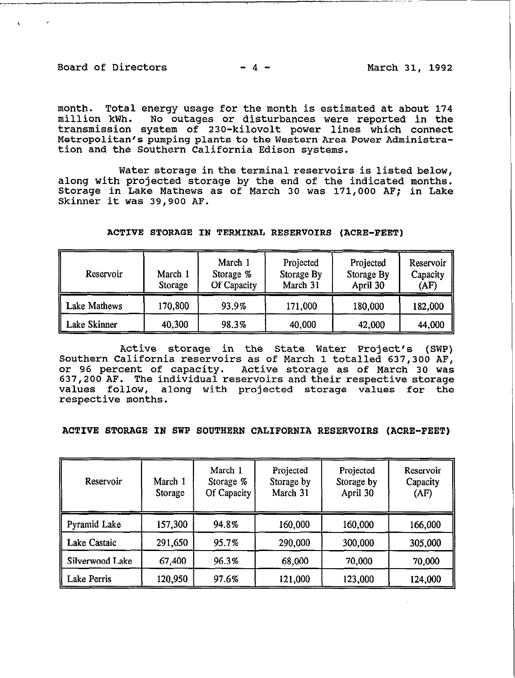Board of Directors  $-4$  -  $-$  March 31, 1992

month. Total energy usage for the month is estimated at about 174 million kWh. No outages or disturbances were reported in the transmission system of 230-kilovolt power lines which connect Metropolitan's pumping plants to the Western Area Power Administration and the Southern California Edison systems.

Water storage in **the** terminal **reservoirs** is listed below, along with projected storage by the end of the indicated months. Storage in Lake Mathews as of March 30 was 171,000 AF; in Lake Skinner it was 39,900 AF.

| Reservoir    | March 1<br>Storage | March 1<br>Storage %<br>Of Capacity | Projected<br>Storage By<br>March 31 | Projected<br>Storage By<br>April 30 | Reservoir<br>Capacity<br>(AF) |
|--------------|--------------------|-------------------------------------|-------------------------------------|-------------------------------------|-------------------------------|
| Lake Mathews | 170,800            | 93.9%                               | 171,000                             | 180,000                             | 182,000                       |
| Lake Skinner | 40,300             | 98.3%                               | 40,000                              | 42,000                              | 44,000                        |

### ACTIVE STORAGE IN TERMINAL RESERVOIRS (ACRE-FEET)

Active storage in the State Water Project's (SWP) Southern California reservoirs as of March 1 totalled 637,300 AF, or 96 percent of capacity. Active storage as of March 30 was 637,200 AF. The individual reservoirs and their respective storage values follow, along with projected storage values for the respective months.

## ACTIVE STORAGE IN SWP SOUTHERN CALIFORNIA RESERVOIRS (ACRE-FEET)

| Reservoir           | March 1<br>Storage | March 1<br>Storage %<br>Of Capacity | Projected<br>Storage by<br>March 31 | Projected<br>Storage by<br>April 30 | Reservoir<br>Capacity<br>(AF) |
|---------------------|--------------------|-------------------------------------|-------------------------------------|-------------------------------------|-------------------------------|
| Pyramid Lake        | 157,300            | 94.8%                               | 160,000                             | 160,000                             | 166,000                       |
| <b>Lake Castaic</b> | 291,650            | 95.7%                               | 290,000                             | 300,000                             | 305,000                       |
| Silverwood Lake     | 67,400             | 96.3%                               | 68,000                              | 70,000                              | 70,000                        |
| <b>Lake Perris</b>  | 120,950            | 97.6%                               | 121,000                             | 123,000                             | 124,000                       |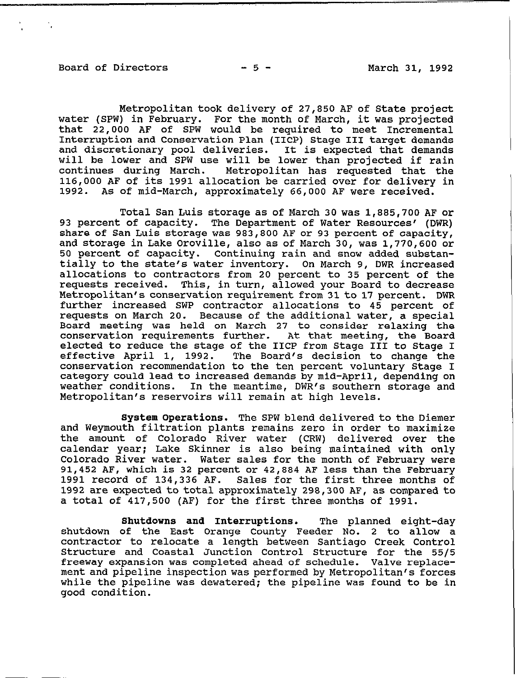### Board of Directors  $-5$  - March 31, 1992

'. **I** 

Metropolitan took delivery of 27,850 AF of State project water (SPW) in February. For the month of March, it was projected that 22,000 AF of SPW would be required to meet Incremental Interruption and Conservation Plan (IICP) Stage III target demands and discretionary pool deliveries. It is expected that demands will be lower and SPW use will be lower than projected if rain continues during March. Metropolitan has requested that the 116,000 AF of its 1991 allocation be carried over for delivery in 1992. As of mid-March, approximately 66.000 AF were received. As of mid-March, approximately 66,000 AF were received.

Total San Luis storage as of March 30 was 1,885,700 AF or 93 percent of capacity. The Department of Water Resources' (DWR) share of San Luis storage was 983,800 AF or 93 percent of capacity, and storage in Lake Oroville, also as of March 30, was 1,770,600 or 50 percent of capacity. Continuing rain and snow added substantially to the state's water inventory. On March 9, DWR increased allocations to contractors from 20 percent to 35 percent of the requests received. This, in turn, allowed your Board to decrease Metropolitan's conservation requirement from 31to 17 percent. DWR further increased SWP contractor allocations to 45 percent of requests on March 20. Because of the additional water, a special Board meeting was held on March 27 to consider relaxing the conservation requirements further. At that meeting, the Board elected to reduce the stage of the IICP from Stage III to Stage I<br>effective April 1, 1992. The Board's decision to change the The Board's decision to change the conservation recommendation to the ten percent voluntary Stage I category could lead to increased demands by mid-April, depending on weather conditions. In the meantime, DWR's southern storage and Metropolitan's reservoirs will remain at high levels.

System Operations. The SPW blend delivered to the Diemer and Weymouth filtration plants remains zero in order to maximize the amount of Colorado River water (CRW) delivered over the calendar year; Lake Skinner is also being maintained with only Colorado River water. Water sales for the month of February were 91,452 AF, which is 32 percent or 42,884 AF less than the February 1991 record of 134,336 AF. Sales for the first three months of 1992 are expected to total approximately 298,300 AF, as compared to a total of 417,500 (AF) for the first three months of 1991.

Shutdowns and Interruptions. The planned eight-day shutdown of the East Orange County Feeder NO. 2 to allow a contractor to relocate a length between Santiago Creek Control Structure and Coastal Junction Control Structure for the 55/5 freeway expansion was completed ahead of schedule. Valve replacement and pipeline inspection was performed by Metropolitan's forces while the pipeline was dewatered; the pipeline was found to be in good condition.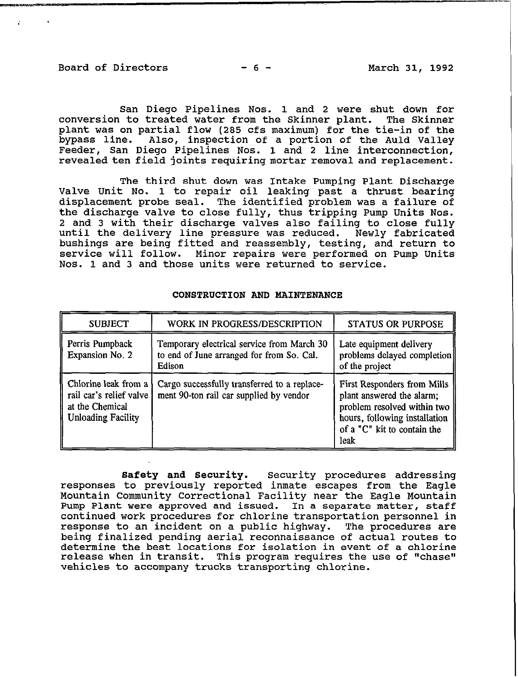Board of Directors -6- March 31, 1992

 $\mathbf{r} = \mathbf{r} \times \mathbf{r}$ 

San Diego Pipelines Nos. 1 and 2 were shut down for conversion to treated water from the Skinner plant. The Skinner plant was on partial flow (285 cfs maximum) for the tie-in of the bypass line. Also, inspection of a portion of the Auld Valley Feeder, San Diego Pipelines Nos. 1 and 2 line interconnection, revealed ten field joints requiring mortar removal and replacement.

The third shut down was Intake Pumping Plant Discharge Valve Unit No. 1 to repair oil leaking past a thrust bearing displacement probe seal. The identified problem was a failure of the discharge valve to close fully, thus tripping Pump Units Nos. 2 and 3 with their discharge valves also failing to close fully until the delivery line pressure was reduced. Newly fabricated bushings are being fitted and reassembly, testing, and return to service will follow. Minor repairs were performed on Pump Units NOS. 1 and 3 and those units were returned to service.

| <b>SUBJECT</b>                                                                                  | WORK IN PROGRESS/DESCRIPTION                                                                      | <b>STATUS OR PURPOSE</b>                                                                                                                                        |
|-------------------------------------------------------------------------------------------------|---------------------------------------------------------------------------------------------------|-----------------------------------------------------------------------------------------------------------------------------------------------------------------|
| Perris Pumpback<br>Expansion No. 2                                                              | Temporary electrical service from March 30<br>to end of June arranged for from So. Cal.<br>Edison | Late equipment delivery<br>problems delayed completion<br>of the project                                                                                        |
| Chlorine leak from a<br>rail car's relief valve<br>at the Chemical<br><b>Unloading Facility</b> | Cargo successfully transferred to a replace-<br>ment 90-ton rail car supplied by vendor           | First Responders from Mills<br>plant answered the alarm;<br>problem resolved within two<br>hours, following installation<br>of a "C" kit to contain the<br>leak |

## CONSTRUCTION AND MAINTENANCE

Safety and Security. Security procedures addressing responses to previously reported inmate escapes from the Eagle Mountain Community Correctional Facility near the Eagle Mountain Pump Plant were approved and issued. In a separate matter, staff continued work procedures for chlorine transportation personnel in response to an incident on a public highway. The procedures are being finalized pending aerial reconnaissance of actual routes to determine the best locations for isolation in event of a chlorine release when in transit. This program requires the use of "chase" vehicles to accompany trucks transporting chlorine.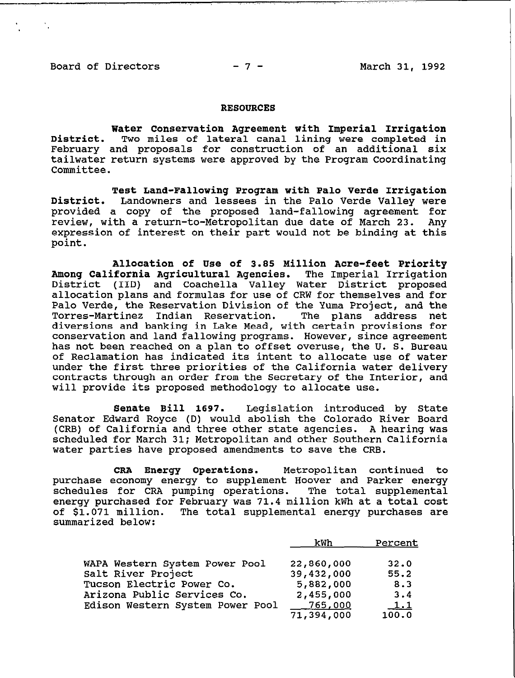.,

'. **I** 

#### RESOURCES

Water Conservation Agreement with Imperial Irrigation District. Two miles of lateral canal lining were completed in February and proposals for construction of an additional six tailwater return systems were approved by the Program Coordinating Committee.

Test Land-Fallowing Program with Palo Verde Irrigation District. Landowners and lessees in the Palo Verde Valley were provided a copy of the proposed land-fallowing agreement for review, with a return-to-Metropolitan due date of March 23. Any expression of interest on their part would not be binding at this point.

Allocation of Use of 3.88 Million Acre-feet Priority Among California Agricultural Agencies. The Imperial Irrigation District (IID) and Coachella Valley Water District proposed allocation plans and formulas for use of CRW for themselves and for Palo Verde, the Reservation Division of the Yuma Project, and the Torres-Martinez Indian Reservation. The plans address net diversions and banking in Lake Mead, with certain provisions for conservation and land fallowing programs. However, since agreement has not been reached on a plan to offset overuse, the U. S. Bureau of Reclamation has indicated its intent to allocate use of water under the first three priorities of the California water delivery contracts through an order from the Secretary of the Interior, and will provide its proposed methodology to allocate use.

Senate Bill 1697. Legislation introduced by State Senator Edward Royce (D) would abolish the Colorado River Board (CRB) of California and three other state agencies. A hearing was scheduled for March 31; Metropolitan and other Southern California water parties have proposed amendments to save the CRB.

CRA Energy Operations. Metropolitan continued to purchase economy energy to supplement Hoover and Parker energy schedules for CRA pumping operations. The total supplemental energy purchased for February was 71.4 million kWh at a total cost of \$1.071 million. The total supplemental energy purchases are summarized below:

|                                  | kWh              | Percent    |
|----------------------------------|------------------|------------|
| WAPA Western System Power Pool   | 22,860,000       | 32.0       |
| Salt River Project               | 39,432,000       | 55.2       |
| Tucson Electric Power Co.        | 5,882,000        | 8.3        |
| Arizona Public Services Co.      | 2,455,000        | 3.4        |
| Edison Western System Power Pool | _765,00 <u>0</u> | $\perp$ .1 |
|                                  | 71,394,000       | 100.0      |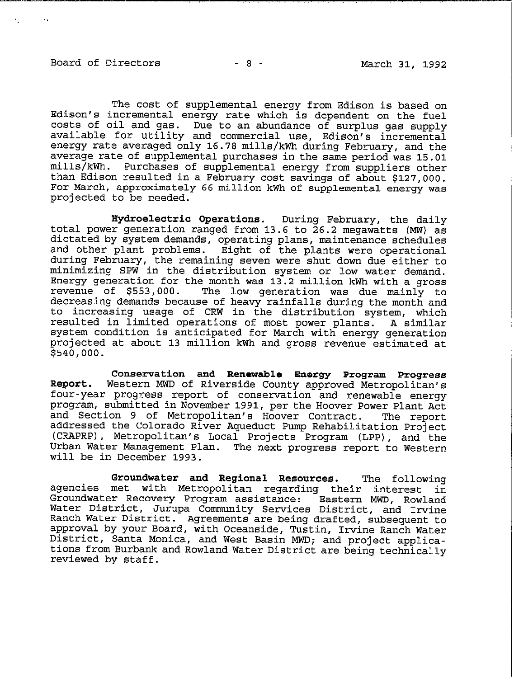'.

 $\sim$  .

The cost of supplemental energy from Edison is based on Edison's incremental energy rate which is dependent on the fuel costs of oil and gas. Due to an abundance of surplus gas supply available for utility and commercial use, Edison's incremental energy rate averaged only 16.78 mills/kWh during February, and the average rate of supplemental purchases in the same period was 15.01 mills/kWh. Purchases of supplemental energy from suppliers other Purchases of supplemental energy from suppliers other than Edison resulted in a February cost savings of about \$127,000. For March, approximately 66 million kWh of supplemental energy was projected to be needed.

Hydroelectric Operations. During February, the daily total power generation ranged from 13.6 to 26.2 megawatts (MW) as dictated by system demands, operating plans, maintenance schedules and other plant problems. Eight of the plants were operational during February, the remaining seven were shut down due either to minimizing SPW in the distribution system or low water demand. Energy generation for the month was 13.2 million kWh with a gross The low generation was due mainly to decreasing demands because of heavy rainfalls during the month and to increasing usage of CRW in the distribution system, which resulted in limited operations of most power plants. A similar system condition is anticipated for March with energy generation projected at about 13 million kWh and gross revenue estimated at \$540,000.

Conservation and Renewable Energy Program Progress Report. Western MWD of Riverside County approved Metropolitan's four-year progress report of conservation and renewable energy program, submitted in November 1991, per the Hoover Power Plant Act and Section 9 of Metropolitan's Hoover Contract. addressed the Colorado River Aqueduct Pump Rehabilitation Project (CRAPRP), Metropolitan's Local Projects Program (LPP), and the Urban Water Management Plan. The next progress report to Western will be in December 1993.

Groundwater and Regional Resources. The following agencies met with Metropolitan regarding their interest in Groundwater Recovery Program assistance: Water District, Jurupa Community Services District, and Irvine Eastern MWD, Rowland Ranch Water District. Agreements are being drafted, subsequent to approval by your Board, with Oceanside, Tustin, Irvine Ranch Water District, Santa Monica, and West Basin MWD; and project applications from Burbank and Rowland Water District are being technically reviewed by staff.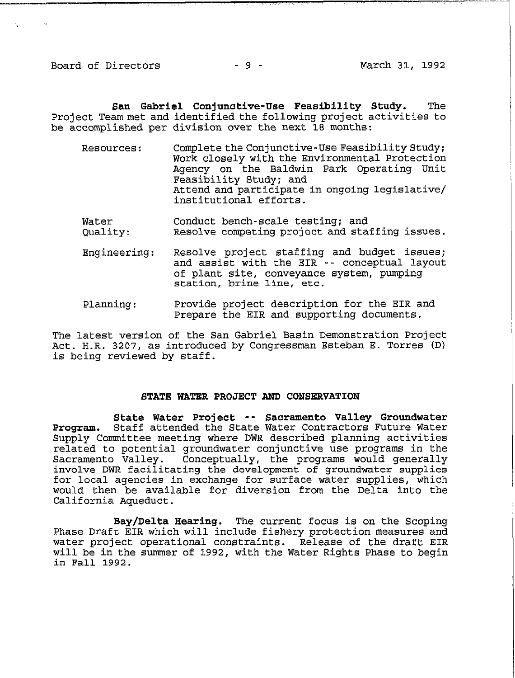Board of Directors  $-9$  -  $-9$  -  $-9$  -  $-9$  -  $-9$ 

-- ,. <sup>I</sup>

San Gabriel Conjunctive-Use Feasibility Study. The Project Team met and identified the following project activities to be accomplished per division over the next 18 months:

- Resources: Complete the Conjunctive-Use Feasibility Study; Work closely with the Environmental Protection Agency on the Baldwin Park Operating Unit Feasibility Study; and Attend and participate in ongoing legislative/ institutional efforts.
- Water Conduct bench-scale testing; and Quality: Resolve competing project and staffing issues.
- Engineering: Resolve project staffing and budget issues; and assist with the EIR -- conceptual layout of plant site, conveyance system, pumping station, brine line, etc.
- Planning: Provide project description for the EIR and Prepare the EIR and supporting documents.

The latest version of the San Gabriel Basin Demonstration Project Act. H.R. 3207, as introduced by Congressman Esteban E. Torres (D) is being reviewed by staff.

### STATE WATER PROJECT AND CONSERVATION

State Water Project -- Sacramento Valley Groundwater Program. Staff attended the State Water Contractors Future Water Supply Committee meeting where DWR described planning activities related to potential groundwater conjunctive use programs in the Sacramento Valley. Conceptually, the programs would generally involve DWR facilitating the development of groundwater supplies for local agencies in exchange for surface water supplies, which would then be available for diversion from the Delta into the California Aqueduct.

Bay/Delta Hearing. The current focus is on the Scoping Phase Draft EIR which will include fishery protection measures and water project operational constraints. Release of the draft EIR will be in the summer of 1992, with the Water Rights Phase to begin in Fall 1992.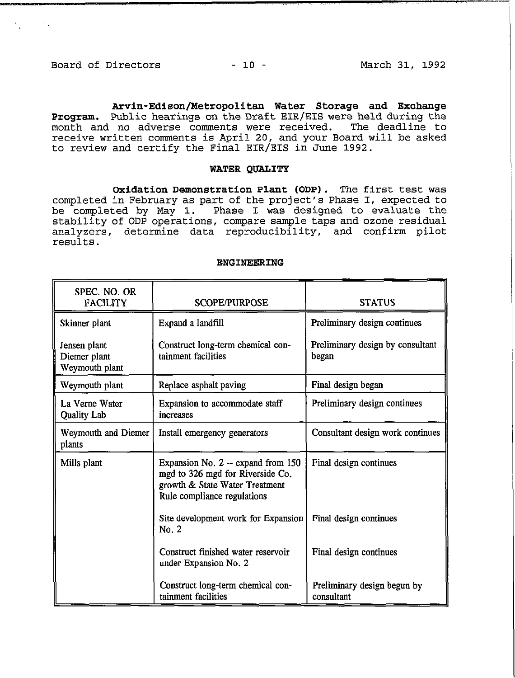**Contractor** 

**Arvin-Edison/Metropolitan** Water Storage **and** Exchange Program. Public hearings on the Draft EIR/EIS were held during the month and no adverse comments were received. The deadline to receive written comments is April 20, and your Board will be asked to review and certify the Final EIR/EIS in June 1992.

## **WATER QUALITY**

**Oxidation Demonstration Plant (ODP). The** first test was completed in February as part of the project's Phase I, expected to be completed by May 1. Phase I was designed to evaluate the stability of ODP operations, compare sample taps and ozone residual analyzers, determine data reproducibility, and confirm pilot results.

### ENGINEERING

| SPEC. NO. OR<br><b>FACILITY</b>                | <b>SCOPE/PURPOSE</b>                                                                                                                    | <b>STATUS</b>                             |
|------------------------------------------------|-----------------------------------------------------------------------------------------------------------------------------------------|-------------------------------------------|
| Skinner plant                                  | Expand a landfill                                                                                                                       | Preliminary design continues              |
| Jensen plant<br>Diemer plant<br>Weymouth plant | Construct long-term chemical con-<br>tainment facilities                                                                                | Preliminary design by consultant<br>began |
| Weymouth plant                                 | Replace asphalt paving                                                                                                                  | Final design began                        |
| La Verne Water<br><b>Quality Lab</b>           | Expansion to accommodate staff<br>increases                                                                                             | Preliminary design continues              |
| Weymouth and Diemer<br>plants                  | Install emergency generators                                                                                                            | Consultant design work continues          |
| Mills plant                                    | Expansion No. 2 -- expand from 150<br>mgd to 326 mgd for Riverside Co.<br>growth & State Water Treatment<br>Rule compliance regulations | Final design continues                    |
|                                                | Site development work for Expansion<br>No. 2                                                                                            | Final design continues                    |
|                                                | Construct finished water reservoir<br>under Expansion No. 2                                                                             | Final design continues                    |
|                                                | Construct long-term chemical con-<br>tainment facilities                                                                                | Preliminary design begun by<br>consultant |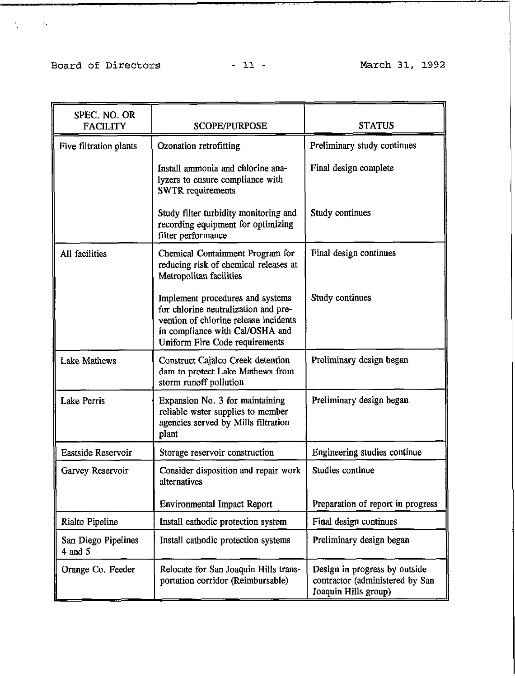# Board of Directors - 11 - 11 - March 31, 1992

 $\mathcal{L}(\mathcal{A})$  and  $\mathcal{L}(\mathcal{A})$  .

| SPEC. NO. OR<br><b>FACILITY</b>    | <b>SCOPE/PURPOSE</b>                                                                                                                                                                   | <b>STATUS</b>                                                                            |
|------------------------------------|----------------------------------------------------------------------------------------------------------------------------------------------------------------------------------------|------------------------------------------------------------------------------------------|
| Five filtration plants             | Ozonation retrofitting                                                                                                                                                                 | Preliminary study continues                                                              |
|                                    | Install ammonia and chlorine ana-<br>lyzers to ensure compliance with<br><b>SWTR</b> requirements                                                                                      | Final design complete                                                                    |
|                                    | Study filter turbidity monitoring and<br>recording equipment for optimizing<br>filter performance                                                                                      | Study continues                                                                          |
| All facilities                     | Chemical Containment Program for<br>reducing risk of chemical releases at<br>Metropolitan facilities                                                                                   | Final design continues                                                                   |
|                                    | Implement procedures and systems<br>for chlorine neutralization and pre-<br>vention of chlorine release incidents<br>in compliance with Cal/OSHA and<br>Uniform Fire Code requirements | Study continues                                                                          |
| <b>Lake Mathews</b>                | Construct Cajalco Creek detention<br>dam to protect Lake Mathews from<br>storm runoff pollution                                                                                        | Preliminary design began                                                                 |
| <b>Lake Perris</b>                 | Expansion No. 3 for maintaining<br>reliable water supplies to member<br>agencies served by Mills filtration<br>plant                                                                   | Preliminary design began                                                                 |
| Eastside Reservoir                 | Storage reservoir construction                                                                                                                                                         | Engineering studies continue                                                             |
| Garvey Reservoir                   | Consider disposition and repair work<br>alternatives                                                                                                                                   | Studies continue                                                                         |
|                                    | <b>Environmental Impact Report</b>                                                                                                                                                     | Preparation of report in progress                                                        |
| Rialto Pipeline                    | Install cathodic protection system                                                                                                                                                     | Final design continues                                                                   |
| San Diego Pipelines<br>$4$ and $5$ | Install cathodic protection systems                                                                                                                                                    | Preliminary design began                                                                 |
| Orange Co. Feeder                  | Relocate for San Joaquin Hills trans-<br>portation corridor (Reimbursable)                                                                                                             | Design in progress by outside<br>contractor (administered by San<br>Joaquin Hills group) |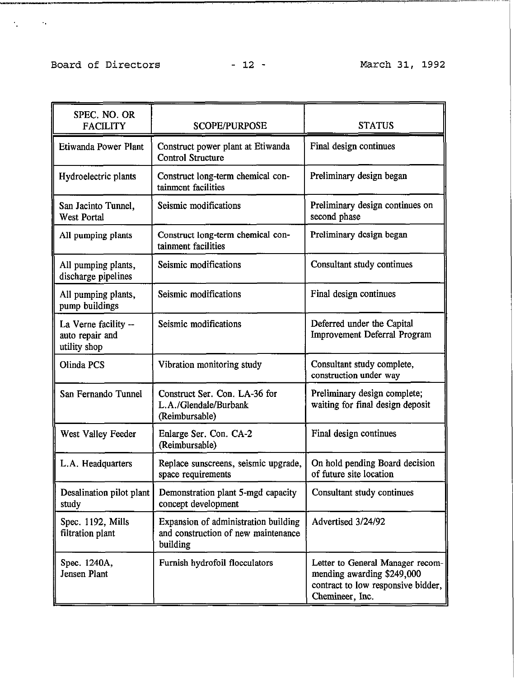# Board of Directors - 12 - March 31, 1992

., . . ~

I \_\_\_\_\_\_\_.\_\_.\_.~ ..\_,

| SPEC. NO. OR<br><b>FACILITY</b>                         | <b>SCOPE/PURPOSE</b>                                                                    | <b>STATUS</b>                                                                                                           |
|---------------------------------------------------------|-----------------------------------------------------------------------------------------|-------------------------------------------------------------------------------------------------------------------------|
| Etiwanda Power Plant                                    | Construct power plant at Etiwanda<br><b>Control Structure</b>                           | Final design continues                                                                                                  |
| Hydroelectric plants                                    | Construct long-term chemical con-<br>tainment facilities                                | Preliminary design began                                                                                                |
| San Jacinto Tunnel,<br><b>West Portal</b>               | Seismic modifications                                                                   | Preliminary design continues on<br>second phase                                                                         |
| All pumping plants                                      | Construct long-term chemical con-<br>tainment facilities                                | Preliminary design began                                                                                                |
| All pumping plants,<br>discharge pipelines              | Seismic modifications                                                                   | Consultant study continues                                                                                              |
| All pumping plants,<br>pump buildings                   | Seismic modifications                                                                   | Final design continues                                                                                                  |
| La Verne facility --<br>auto repair and<br>utility shop | Seismic modifications                                                                   | Deferred under the Capital<br><b>Improvement Deferral Program</b>                                                       |
| Olinda PCS                                              | Vibration monitoring study                                                              | Consultant study complete,<br>construction under way                                                                    |
| San Fernando Tunnel                                     | Construct Ser. Con. LA-36 for<br>L.A./Glendale/Burbank<br>(Reimbursable)                | Preliminary design complete;<br>waiting for final design deposit                                                        |
| West Valley Feeder                                      | Enlarge Ser. Con. CA-2<br>(Reimbursable)                                                | Final design continues                                                                                                  |
| L.A. Headquarters                                       | Replace sunscreens, seismic upgrade,<br>space requirements                              | On hold pending Board decision<br>of future site location                                                               |
| Desalination pilot plant<br>study                       | Demonstration plant 5-mgd capacity<br>concept development                               | Consultant study continues                                                                                              |
| Spec. 1192, Mills<br>filtration plant                   | Expansion of administration building<br>and construction of new maintenance<br>building | Advertised 3/24/92                                                                                                      |
| Spec. 1240A,<br><b>Jensen Plant</b>                     | Furnish hydrofoil flocculators                                                          | Letter to General Manager recom-<br>mending awarding \$249,000<br>contract to low responsive bidder,<br>Chemineer, Inc. |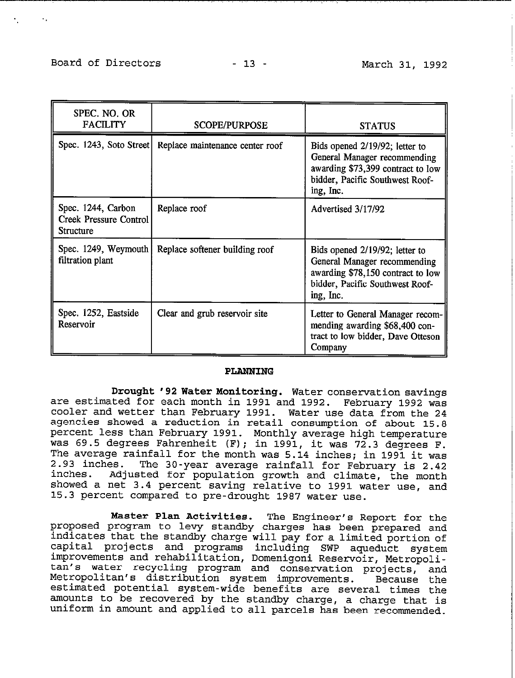$\bullet$  .

| SPEC. NO. OR<br><b>FACILITY</b>                                         | <b>SCOPE/PURPOSE</b>                                      | <b>STATUS</b>                                                                                                                                       |
|-------------------------------------------------------------------------|-----------------------------------------------------------|-----------------------------------------------------------------------------------------------------------------------------------------------------|
|                                                                         | Spec. 1243, Soto Street   Replace maintenance center roof | Bids opened 2/19/92; letter to<br>General Manager recommending<br>awarding \$73,399 contract to low<br>bidder, Pacific Southwest Roof-<br>ing, Inc. |
| Spec. 1244, Carbon<br><b>Creek Pressure Control</b><br><b>Structure</b> | Replace roof                                              | Advertised 3/17/92                                                                                                                                  |
| Spec. 1249, Weymouth<br>filtration plant                                | Replace softener building roof                            | Bids opened 2/19/92; letter to<br>General Manager recommending<br>awarding \$78,150 contract to low<br>bidder, Pacific Southwest Roof-<br>ing, Inc. |
| Spec. 1252, Eastside<br>Reservoir                                       | Clear and grub reservoir site                             | Letter to General Manager recom-<br>mending awarding \$68,400 con-<br>tract to low bidder, Dave Otteson<br>Company                                  |

## PLANNING

Drought '92 **Water Konitoring.** Water conservation savings are estimated for each month in 1991 and 1992. February 1992 was cooler and wetter than February 1991. Water use data from the **24**  agencies showed a reduction in retail consumption of about 15.8 percent less than February 1991. Monthly average high temperature was 69.5 degrees Fahrenheit (F); in 1991, it was 72.3 degrees F. The average rainfall for the month was **5.14** inches; in 1991 it was 2.93 inches. inches. The 30-year average rainfall for February is 2.42 Adjusted for population growth and climate, the month showed a net 3.4 percent saving relative to 1991 water use, and 15.3 percent compared to pre-drought 1987 water use.

Waster Plan Activities. The Engineer's Report for the proposed program to levy standby charges has been prepared and indicates that the standby charge will pay for a limited portion of capital projects and programs including SWP aqueduct system improvements and rehabilitation, Domenigoni Reservoir, Metropolitan's water recycling program and conservation projects, and Metropolitan's distribution system improvements. Because the estimated potential system-wide benefits are several times the amounts to be recovered by the standby charge, a charge that is uniform in amount and applied to all parcels has been recommended.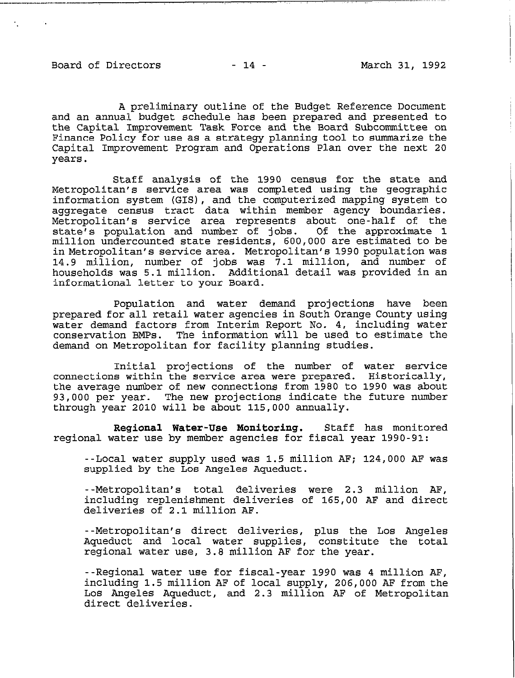Board of Directors - 14 - March 31, 1992

-- --,--

'.

A preliminary outline of the Budget Reference Document and an annual budget schedule has been prepared and presented to the Capital Improvement Task Force and the Board Subcommittee on Finance Policy for use as a strategy planning tool to summarize the Capital Improvement Program and Operations Plan over the next 20 years.

Staff analysis of the 1990 census for the state and Metropolitan's service area was completed using the geographic information system (GIS), and the computerized mapping system to aggregate census tract data within member agency boundaries. Metropolitan's service area represents about one-half of the state's population and number of jobs. Of the approximate 1 million undercounted state residents, 600,000 are estimated to be inMetropolitan's service area. Metropolitan's 1990 population was 14.9 million, number of jobs was 7.1 million, and number of households was 5.1 million. Additional detail was provided in an informational letter to your Board.

Population and water demand projections have been prepared for all retail water agencies in South Orange County using water demand factors from Interim Report No. 4, including water conservation BMPs. The information will be used to estimate the demand on Metropolitan for facility planning studies.

Initial projections of the number of water service connections within the service area were prepared. Historically, the average number of new connections from 1980 to 1990 was about 93,000 per year. The new projections indicate the future number through year 2010 will be about 115,000 annually.

Regional Water-Use Monitoring. Staff has monitored regional water use by member agencies for fiscal year 1990-91:

--Local water supply used was 1.5 million AF; 124,000 AF was supplied by the Los Angeles Aqueduct.

--Metropolitan's total deliveries were 2.3 million AF, including replenishment deliveries of 165,00 AF and direct deliveries of 2.1 million AF.

--Metropolitan's direct deliveries, plus the Los Angeles Aqueduct and local water supplies, constitute the total regional water use, 3.8 million AF for the year.

--Regional water use for fiscal-year 1990 was 4 million AF, including 1.5 million AF of local supply, 206,000 AF from the Los Angeles Aqueduct, and 2.3 million AF of Metropolitan direct deliveries.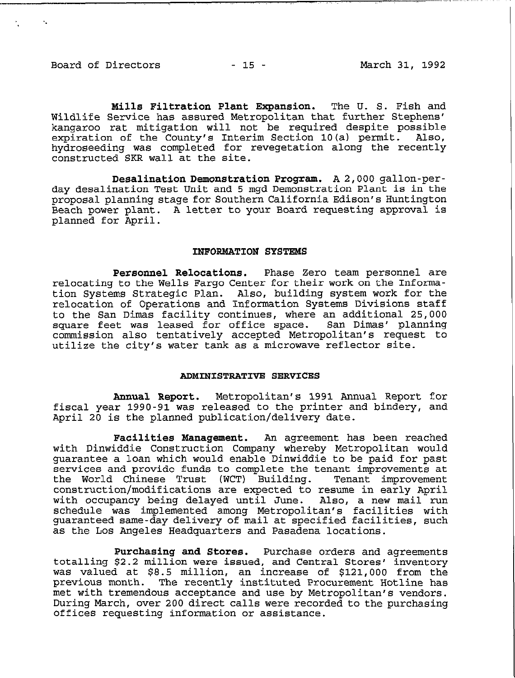Board of Directors - 15 - 15 - March 31, 1992

Mills Filtration Plant Expansion. The U. S. Fish and Wildlife Service has assured Metropolitan that further Stephens' kangaroo rat mitigation will not be required despite possible expiration of the County's Interim Section 10(a) permit. Also, hydroseeding was completed for revegetation along the recently constructed SKR wall at the site.

Desalination Demonstration Program. A 2,000 **gallon-per**day desalination Test Unit and 5 mgd Demonstration Plant is in the proposal planning stage for Southern California Edison's Huntington Beach power plant. A letter to your Board requesting approval is planned for April.

### INFORNATION SYSTEMS

Personnel Relocations. Phase Zero team personnel are relocating to the Wells Fargo Center for their work on the Information Systems Strategic Plan. Also, building system work for the relocation of Operations and Information Systems Divisions staff to the San Dimas facility continues, where an additional 25,000 square feet was leased for office space. San Dimas' planning commission also tentatively accepted Metropolitan's request to utilize the city's water tank as a microwave reflector site.

#### ADMINISTRATIVE SERVICES

Annual Report. Metropolitan's 1991 Annual Report for fiscal year 1990-91 was released to the printer and bindery, and April 20 is the planned publication/delivery date.

Facilities Management. An agreement has been reached with Dinwiddie Construction Company whereby Metropolitan would guarantee a loan which would enable Dinwiddie to be paid for past services and provide funds to complete the tenant improvements at the World Chinese Trust (WCT) Building. Tenant improvement construction/modifications are expected to resume in early April with occupancy being delayed until June. Also, a new mail run schedule was implemented among Metropolitan's facilities with guaranteed same-day delivery of mail at specified facilities, such as the Los Angeles Headquarters and Pasadena locations.

Purchasing and Stores. Purchase orders and agreements totalling \$2.2 million were issued, and Central Stores' inventory was valued at \$8.5 million, an increase of \$121,000 from the previous month. The recently instituted Procurement Hotline has met with tremendous acceptance and use by Metropolitan's vendors. During March, over 200 direct calls were recorded to the purchasing offices requesting information or assistance.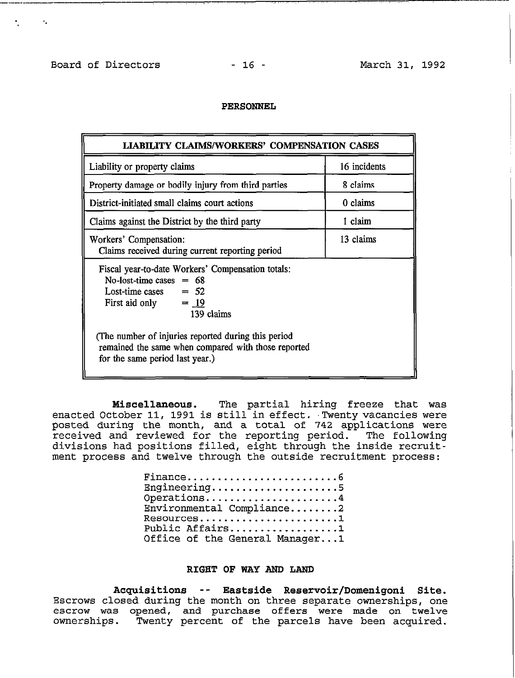.. -. **I** 

-----.- \_~\_\_\_\_\_ ,.

### PERSONNEL

| <b>LIABILITY CLAIMS/WORKERS' COMPENSATION CASES</b>                                                                                             |              |  |  |
|-------------------------------------------------------------------------------------------------------------------------------------------------|--------------|--|--|
| Liability or property claims                                                                                                                    | 16 incidents |  |  |
| Property damage or bodily injury from third parties                                                                                             | 8 claims     |  |  |
| District-initiated small claims court actions                                                                                                   | 0 claims     |  |  |
| Claims against the District by the third party                                                                                                  | 1 claim      |  |  |
| 13 claims<br>Workers' Compensation:<br>Claims received during current reporting period                                                          |              |  |  |
| Fiscal year-to-date Workers' Compensation totals:<br>No-lost-time cases $= 68$<br>Lost-time cases $= 52$<br>First aid only $= 19$<br>139 claims |              |  |  |
| (The number of injuries reported during this period<br>remained the same when compared with those reported<br>for the same period last year.)   |              |  |  |

**Miscellaneous.** The partial hiring freeze that was enacted October 11, 1991 is still in effect. Twenty vacancies were posted during the month, and a total of 742 applications were received and reviewed for the reporting period. The following divisions had positions filled, eight through the inside recruitment process and twelve through the outside recruitment process:

| Finance6                             |
|--------------------------------------|
| Engineering5                         |
| Operations4                          |
| $\texttt{Environmental}$ Compliance2 |
| $\verb"Resources" 1$                 |
| Public Affairs1                      |
| Office of the General Manager1       |

## RIGHT OF WAY AND LAND

Acquisitions -- Eastside Reservoir/Domenigoni Site. Escrows closed during the month on three separate ownerships, one escrow was opened, and purchase offers were made on twelve ownerships. Twenty percent of the parcels have been acquired.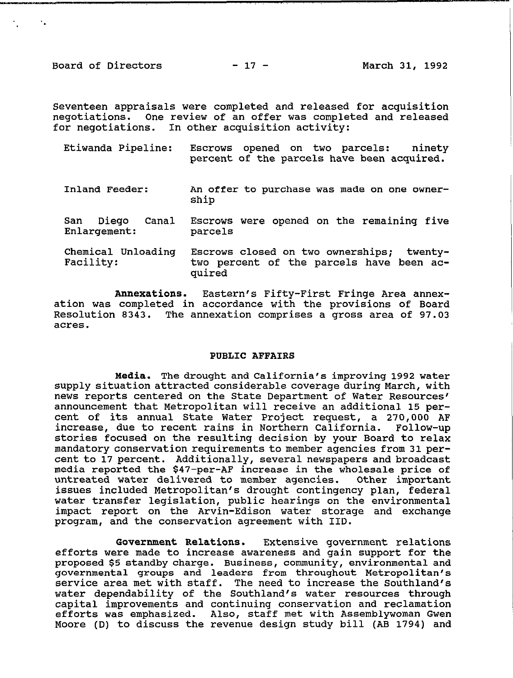Board of Directors - 17 - March 31, 1992

. . **!** 

\_,

Seventeen appraisals were completed and released for acquisition negotiations. One review of an offer was completed and released for negotiations. In other acquisition activity:

| Etiwanda Pipeline:                    | Escrows opened on two parcels:<br>ninetv<br>percent of the parcels have been acquired.          |
|---------------------------------------|-------------------------------------------------------------------------------------------------|
| Inland Feeder:                        | An offer to purchase was made on one owner-<br>ship                                             |
| Diego<br>San<br>Canal<br>Enlargement: | Escrows were opened on the remaining five<br>parcels                                            |
| Chemical Unloading<br>Facility:       | Escrows closed on two ownerships; twenty-<br>two percent of the parcels have been ac-<br>quired |

Annexations. Eastern's Fifty-First Fringe Area annexation was completed in accordance with the provisions of Board Resolution 8343. The annexation comprises a gross area of 97.03 acres.

### PUBLIC AFFAIRS

Media. The drought and California's improving 1992 water supply situation attracted considerable coverage during March, with news reports centered on the State Department of Water Resources' announcement that Metropolitan will receive an additional 15 percent of its annual State Water Project request, a 270,000 AF increase, due to recent rains in Northern California. Follow-up stories focused on the resulting decision by your Board to relax mandatory conservation requirements to member agencies from 31 percent **to** 17 percent. Additionally, several newspapers and broadcast media reported the \$47-per-AF increase in the wholesale price of untreated water delivered to member agencies. Other important issues included Metropolitan's drought contingency plan, federal water transfer legislation, public hearings on the environmental impact report on the Arvin-Edison water storage and exchange program, and the conservation agreement with IID.

Government Relations. Extensive government relations efforts were made to increase awareness and gain support for the proposed \$5 standby charge. Business, community, environmental and governmental groups and leaders from throughout Metropolitan's service area met with staff. The need to increase the Southland's water dependability of the Southland's water resources through capital improvements and continuing conservation and reclamation efforts was emphasized. Also, staff met with Assemblywoman Gwen Moore (D) to discuss the revenue design study bill (AB 1794) and